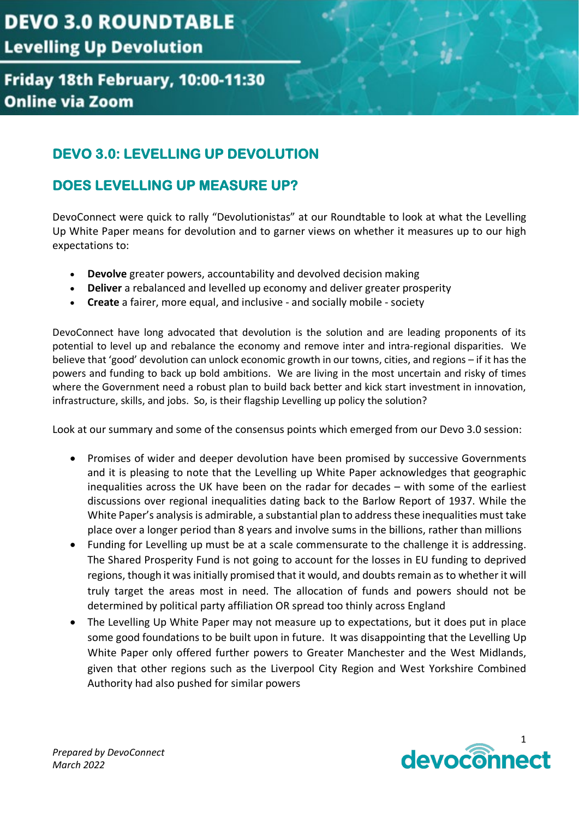#### Friday 18th February, 10:00-11:30 **Online via Zoom**

#### **DEVO 3.0: LEVELLING UP DEVOLUTION**

#### **DOES LEVELLING UP MEASURE UP?**

DevoConnect were quick to rally "Devolutionistas" at our Roundtable to look at what the Levelling Up White Paper means for devolution and to garner views on whether it measures up to our high expectations to:

- **Devolve** greater powers, accountability and devolved decision making
- **Deliver** a rebalanced and levelled up economy and deliver greater prosperity
- **Create** a fairer, more equal, and inclusive and socially mobile society

DevoConnect have long advocated that devolution is the solution and are leading proponents of its potential to level up and rebalance the economy and remove inter and intra-regional disparities. We believe that 'good' devolution can unlock economic growth in our towns, cities, and regions – if it has the powers and funding to back up bold ambitions. We are living in the most uncertain and risky of times where the Government need a robust plan to build back better and kick start investment in innovation, infrastructure, skills, and jobs. So, is their flagship Levelling up policy the solution?

Look at our summary and some of the consensus points which emerged from our Devo 3.0 session:

- Promises of wider and deeper devolution have been promised by successive Governments and it is pleasing to note that the Levelling up White Paper acknowledges that geographic inequalities across the UK have been on the radar for decades – with some of the earliest discussions over regional inequalities dating back to the Barlow Report of 1937. While the White Paper's analysis is admirable, a substantial plan to address these inequalities must take place over a longer period than 8 years and involve sums in the billions, rather than millions
- Funding for Levelling up must be at a scale commensurate to the challenge it is addressing. The Shared Prosperity Fund is not going to account for the losses in EU funding to deprived regions, though it was initially promised that it would, and doubts remain as to whether it will truly target the areas most in need. The allocation of funds and powers should not be determined by political party affiliation OR spread too thinly across England
- The Levelling Up White Paper may not measure up to expectations, but it does put in place some good foundations to be built upon in future. It was disappointing that the Levelling Up White Paper only offered further powers to Greater Manchester and the West Midlands, given that other regions such as the Liverpool City Region and West Yorkshire Combined Authority had also pushed for similar powers

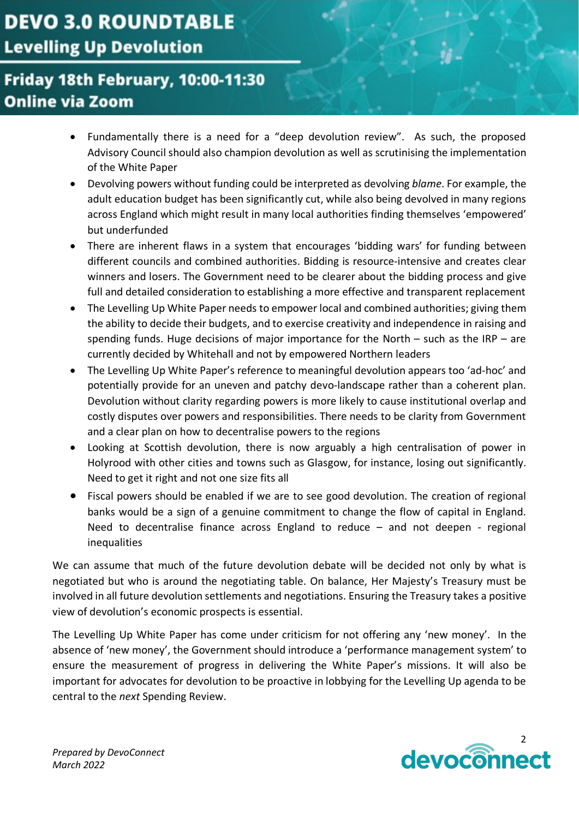### Friday 18th February, 10:00-11:30 **Online via Zoom**

- Fundamentally there is a need for a "deep devolution review". As such, the proposed Advisory Council should also champion devolution as well as scrutinising the implementation of the White Paper
- Devolving powers without funding could be interpreted as devolving *blame*. For example, the adult education budget has been significantly cut, while also being devolved in many regions across England which might result in many local authorities finding themselves 'empowered' but underfunded
- There are inherent flaws in a system that encourages 'bidding wars' for funding between different councils and combined authorities. Bidding is resource-intensive and creates clear winners and losers. The Government need to be clearer about the bidding process and give full and detailed consideration to establishing a more effective and transparent replacement
- The Levelling Up White Paper needs to empower local and combined authorities; giving them the ability to decide their budgets, and to exercise creativity and independence in raising and spending funds. Huge decisions of major importance for the North  $-$  such as the IRP  $-$  are currently decided by Whitehall and not by empowered Northern leaders
- The Levelling Up White Paper's reference to meaningful devolution appears too 'ad-hoc' and potentially provide for an uneven and patchy devo-landscape rather than a coherent plan. Devolution without clarity regarding powers is more likely to cause institutional overlap and costly disputes over powers and responsibilities. There needs to be clarity from Government and a clear plan on how to decentralise powers to the regions
- Looking at Scottish devolution, there is now arguably a high centralisation of power in Holyrood with other cities and towns such as Glasgow, for instance, losing out significantly. Need to get it right and not one size fits all
- Fiscal powers should be enabled if we are to see good devolution. The creation of regional banks would be a sign of a genuine commitment to change the flow of capital in England. Need to decentralise finance across England to reduce – and not deepen - regional inequalities

We can assume that much of the future devolution debate will be decided not only by what is negotiated but who is around the negotiating table. On balance, Her Majesty's Treasury must be involved in all future devolution settlements and negotiations. Ensuring the Treasury takes a positive view of devolution's economic prospects is essential.

The Levelling Up White Paper has come under criticism for not offering any 'new money'. In the absence of 'new money', the Government should introduce a 'performance management system' to ensure the measurement of progress in delivering the White Paper's missions. It will also be important for advocates for devolution to be proactive in lobbying for the Levelling Up agenda to be central to the *next* Spending Review.

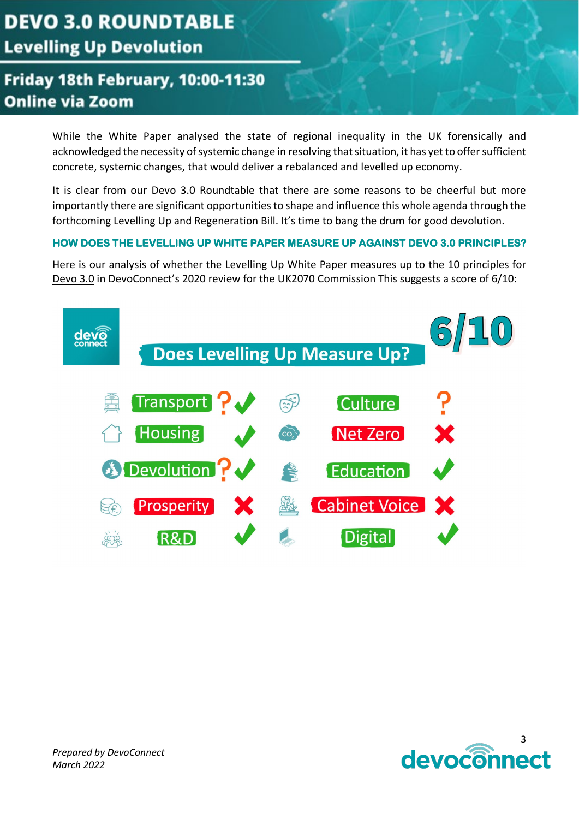## Friday 18th February, 10:00-11:30 **Online via Zoom**

While the White Paper analysed the state of regional inequality in the UK forensically and acknowledged the necessity of systemic change in resolving that situation, it has yet to offer sufficient concrete, systemic changes, that would deliver a rebalanced and levelled up economy.

It is clear from our Devo 3.0 Roundtable that there are some reasons to be cheerful but more importantly there are significant opportunities to shape and influence this whole agenda through the forthcoming Levelling Up and Regeneration Bill. It's time to bang the drum for good devolution.

#### **HOW DOES THE LEVELLING UP WHITE PAPER MEASURE UP AGAINST DEVO 3.0 PRINCIPLES?**

Here is our analysis of whether the Levelling Up White Paper measures up to the 10 principles for [Devo 3.0](http://uk2070.org.uk/wp-content/uploads/2020/02/DEVO-3.0-FINAL-REPORT.pdf) in DevoConnect's 2020 review for the UK2070 Commission This suggests a score of 6/10:

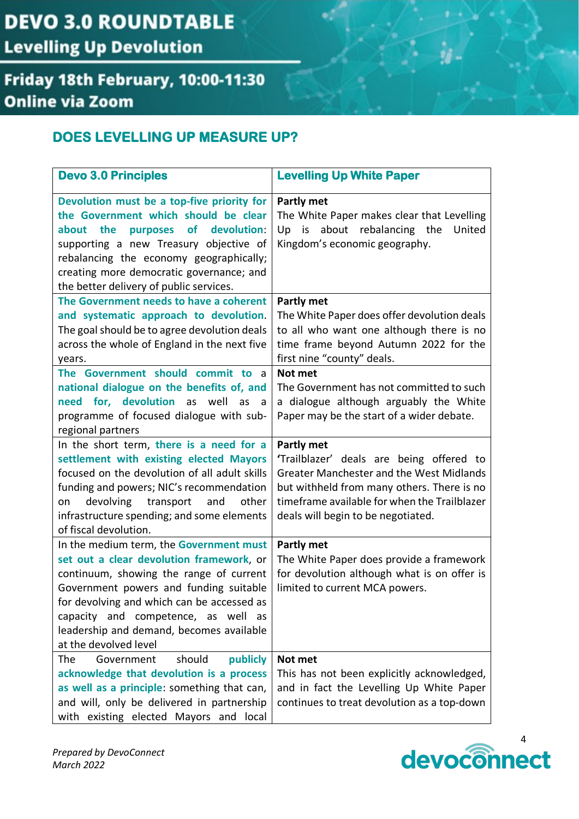## Friday 18th February, 10:00-11:30 **Online via Zoom**

#### **DOES LEVELLING UP MEASURE UP?**

| <b>Devo 3.0 Principles</b>                                                                                                                                                                                                                                                                                                            | <b>Levelling Up White Paper</b>                                                                                                                                                                                                               |
|---------------------------------------------------------------------------------------------------------------------------------------------------------------------------------------------------------------------------------------------------------------------------------------------------------------------------------------|-----------------------------------------------------------------------------------------------------------------------------------------------------------------------------------------------------------------------------------------------|
| Devolution must be a top-five priority for<br>the Government which should be clear<br><b>of</b><br>devolution:<br>about the<br>purposes<br>supporting a new Treasury objective of<br>rebalancing the economy geographically;<br>creating more democratic governance; and<br>the better delivery of public services.                   | Partly met<br>The White Paper makes clear that Levelling<br>about rebalancing the<br>Up is<br>United<br>Kingdom's economic geography.                                                                                                         |
| The Government needs to have a coherent<br>and systematic approach to devolution.<br>The goal should be to agree devolution deals<br>across the whole of England in the next five<br>years.                                                                                                                                           | Partly met<br>The White Paper does offer devolution deals<br>to all who want one although there is no<br>time frame beyond Autumn 2022 for the<br>first nine "county" deals.                                                                  |
| The Government should commit to a<br>national dialogue on the benefits of, and<br>need for, devolution as well<br>as<br>a a<br>programme of focused dialogue with sub-<br>regional partners                                                                                                                                           | Not met<br>The Government has not committed to such<br>a dialogue although arguably the White<br>Paper may be the start of a wider debate.                                                                                                    |
| In the short term, there is a need for a<br>settlement with existing elected Mayors<br>focused on the devolution of all adult skills<br>funding and powers; NIC's recommendation<br>devolving<br>transport<br>other<br>and<br>on<br>infrastructure spending; and some elements<br>of fiscal devolution.                               | Partly met<br>'Trailblazer' deals are being offered to<br><b>Greater Manchester and the West Midlands</b><br>but withheld from many others. There is no<br>timeframe available for when the Trailblazer<br>deals will begin to be negotiated. |
| In the medium term, the Government must<br>set out a clear devolution framework, or<br>continuum, showing the range of current<br>Government powers and funding suitable<br>for devolving and which can be accessed as<br>capacity and competence, as well<br>as<br>leadership and demand, becomes available<br>at the devolved level | <b>Partly met</b><br>The White Paper does provide a framework<br>for devolution although what is on offer is<br>limited to current MCA powers.                                                                                                |
| The<br>should<br>publicly<br>Government<br>acknowledge that devolution is a process<br>as well as a principle: something that can,<br>and will, only be delivered in partnership<br>with existing elected Mayors and local                                                                                                            | Not met<br>This has not been explicitly acknowledged,<br>and in fact the Levelling Up White Paper<br>continues to treat devolution as a top-down                                                                                              |

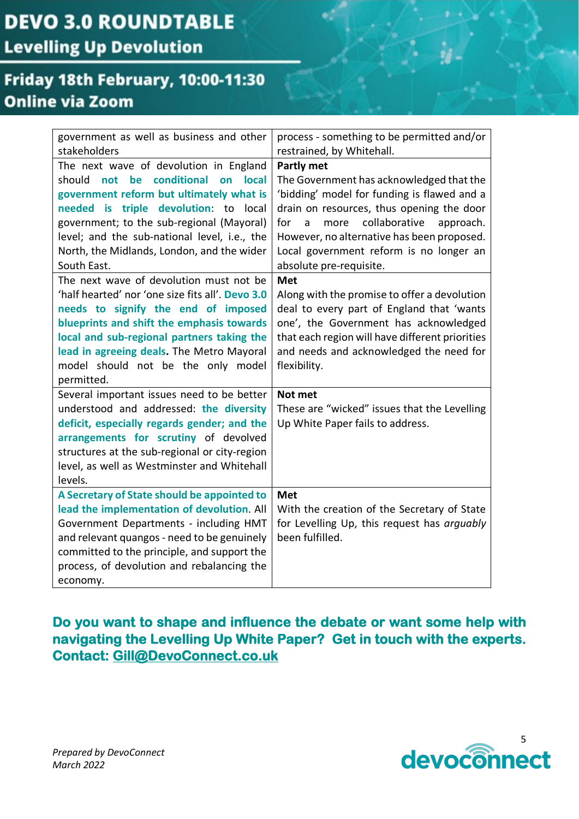### Friday 18th February, 10:00-11:30 **Online via Zoom**

| government as well as business and other          | process - something to be permitted and/or      |
|---------------------------------------------------|-------------------------------------------------|
| stakeholders                                      | restrained, by Whitehall.                       |
| The next wave of devolution in England            | Partly met                                      |
| conditional<br>should<br>not<br>be<br>local<br>on | The Government has acknowledged that the        |
| government reform but ultimately what is          | 'bidding' model for funding is flawed and a     |
| needed is triple devolution: to local             | drain on resources, thus opening the door       |
| government; to the sub-regional (Mayoral)         | collaborative<br>approach.<br>for<br>a<br>more  |
| level; and the sub-national level, i.e., the      | However, no alternative has been proposed.      |
| North, the Midlands, London, and the wider        | Local government reform is no longer an         |
| South East.                                       | absolute pre-requisite.                         |
| The next wave of devolution must not be           | <b>Met</b>                                      |
| 'half hearted' nor 'one size fits all'. Devo 3.0  | Along with the promise to offer a devolution    |
| needs to signify the end of imposed               | deal to every part of England that 'wants       |
| blueprints and shift the emphasis towards         | one', the Government has acknowledged           |
| local and sub-regional partners taking the        | that each region will have different priorities |
| lead in agreeing deals. The Metro Mayoral         | and needs and acknowledged the need for         |
| model should not be the only model                | flexibility.                                    |
| permitted.                                        |                                                 |
| Several important issues need to be better        | Not met                                         |
| understood and addressed: the diversity           | These are "wicked" issues that the Levelling    |
| deficit, especially regards gender; and the       | Up White Paper fails to address.                |
| arrangements for scrutiny of devolved             |                                                 |
| structures at the sub-regional or city-region     |                                                 |
| level, as well as Westminster and Whitehall       |                                                 |
| levels.                                           |                                                 |
| A Secretary of State should be appointed to       | <b>Met</b>                                      |
| lead the implementation of devolution. All        | With the creation of the Secretary of State     |
| Government Departments - including HMT            | for Levelling Up, this request has arguably     |
| and relevant quangos - need to be genuinely       | been fulfilled.                                 |
| committed to the principle, and support the       |                                                 |
| process, of devolution and rebalancing the        |                                                 |
| economy.                                          |                                                 |

**Do you want to shape and influence the debate or want some help with navigating the Levelling Up White Paper? Get in touch with the experts. Contact: [Gill@DevoConnect.co.uk](mailto:gill@devoconnect.co.uk)** 

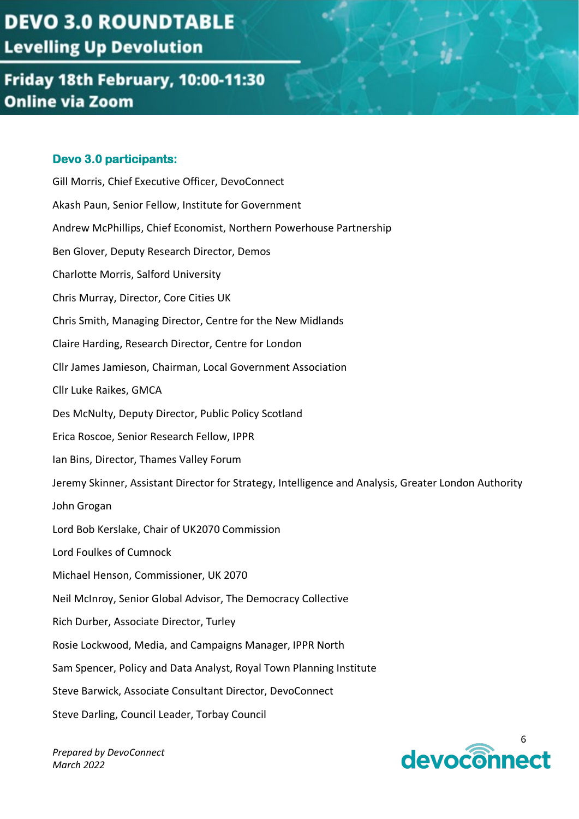### Friday 18th February, 10:00-11:30 **Online via Zoom**

#### **Devo 3.0 participants:**

Gill Morris, Chief Executive Officer, DevoConnect Akash Paun, Senior Fellow, Institute for Government Andrew McPhillips, Chief Economist, Northern Powerhouse Partnership Ben Glover, Deputy Research Director, Demos Charlotte Morris, Salford University Chris Murray, Director, Core Cities UK Chris Smith, Managing Director, Centre for the New Midlands Claire Harding, Research Director, Centre for London Cllr James Jamieson, Chairman, Local Government Association Cllr Luke Raikes, GMCA Des McNulty, Deputy Director, Public Policy Scotland Erica Roscoe, Senior Research Fellow, IPPR Ian Bins, Director, Thames Valley Forum Jeremy Skinner, Assistant Director for Strategy, Intelligence and Analysis, Greater London Authority John Grogan Lord Bob Kerslake, Chair of UK2070 Commission Lord Foulkes of Cumnock Michael Henson, Commissioner, UK 2070 Neil McInroy, Senior Global Advisor, The Democracy Collective Rich Durber, Associate Director, Turley Rosie Lockwood, Media, and Campaigns Manager, IPPR North Sam Spencer, Policy and Data Analyst, Royal Town Planning Institute Steve Barwick, Associate Consultant Director, DevoConnect Steve Darling, Council Leader, Torbay Council

*Prepared by DevoConnect March 2022*